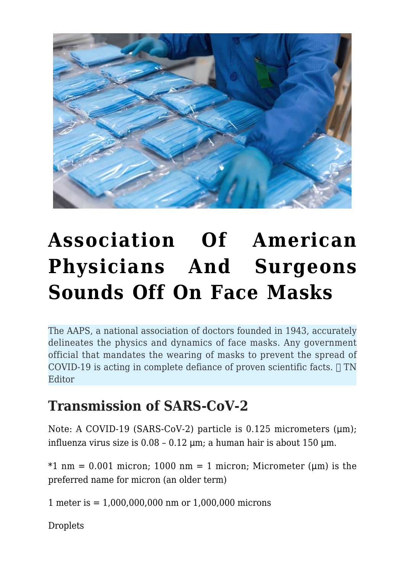

# **[Association Of American](https://www.technocracy.news/association-of-american-physicians-and-surgeons-sounds-off-on-face-masks/) [Physicians And Surgeons](https://www.technocracy.news/association-of-american-physicians-and-surgeons-sounds-off-on-face-masks/) [Sounds Off On Face Masks](https://www.technocracy.news/association-of-american-physicians-and-surgeons-sounds-off-on-face-masks/)**

The AAPS, a national association of doctors founded in 1943, accurately delineates the physics and dynamics of face masks. Any government official that mandates the wearing of masks to prevent the spread of COVID-19 is acting in complete defiance of proven scientific facts.  $\Box$  TN **Editor** 

### **Transmission of SARS-CoV-2**

Note: A COVID-19 (SARS-CoV-2) particle is 0.125 micrometers (μm); influenza virus size is 0.08 – 0.12 μm; a human hair is about 150 μm.

 $*1$  nm = 0.001 micron; 1000 nm = 1 micron; Micrometer (um) is the preferred name for micron (an older term)

1 meter is = 1,000,000,000 nm or 1,000,000 microns

**Droplets**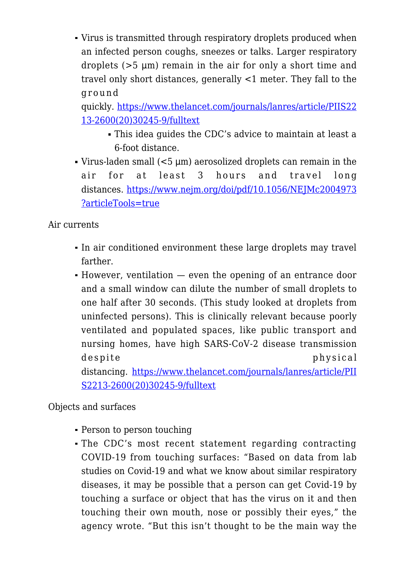Virus is transmitted through respiratory droplets produced when an infected person coughs, sneezes or talks. Larger respiratory droplets (>5 μm) remain in the air for only a short time and travel only short distances, generally <1 meter. They fall to the ground

quickly. [https://www.thelancet.com/journals/lanres/article/PIIS22](https://www.thelancet.com/journals/lanres/article/PIIS2213-2600(20)30245-9/fulltext) [13-2600\(20\)30245-9/fulltext](https://www.thelancet.com/journals/lanres/article/PIIS2213-2600(20)30245-9/fulltext)

- This idea guides the CDC's advice to maintain at least a 6-foot distance.
- Virus-laden small (<5 μm) aerosolized droplets can remain in the air for at least 3 hours and travel long distances. [https://www.nejm.org/doi/pdf/10.1056/NEJMc2004973](https://www.nejm.org/doi/pdf/10.1056/NEJMc2004973?articleTools=true) [?articleTools=true](https://www.nejm.org/doi/pdf/10.1056/NEJMc2004973?articleTools=true)

Air currents

- In air conditioned environment these large droplets may travel farther.
- However, ventilation even the opening of an entrance door and a small window can dilute the number of small droplets to one half after 30 seconds. (This study looked at droplets from uninfected persons). This is clinically relevant because poorly ventilated and populated spaces, like public transport and nursing homes, have high SARS-CoV-2 disease transmission despite physical distancing. [https://www.thelancet.com/journals/lanres/article/PII](https://www.thelancet.com/journals/lanres/article/PIIS2213-2600(20)30245-9/fulltext) [S2213-2600\(20\)30245-9/fulltext](https://www.thelancet.com/journals/lanres/article/PIIS2213-2600(20)30245-9/fulltext)

Objects and surfaces

- Person to person touching
- The CDC's most recent statement regarding contracting COVID-19 from touching surfaces: "Based on data from lab studies on Covid-19 and what we know about similar respiratory diseases, it may be possible that a person can get Covid-19 by touching a surface or object that has the virus on it and then touching their own mouth, nose or possibly their eyes," the agency wrote. "But this isn't thought to be the main way the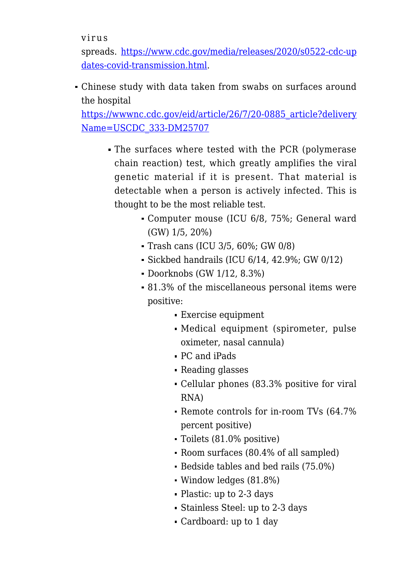virus

spreads. [https://www.cdc.gov/media/releases/2020/s0522-cdc-up](https://www.cdc.gov/media/releases/2020/s0522-cdc-updates-covid-transmission.html) [dates-covid-transmission.html.](https://www.cdc.gov/media/releases/2020/s0522-cdc-updates-covid-transmission.html)

Chinese study with data taken from swabs on surfaces around the hospital

[https://wwwnc.cdc.gov/eid/article/26/7/20-0885\\_article?delivery](https://wwwnc.cdc.gov/eid/article/26/7/20-0885_article?deliveryName=USCDC_333-DM25707) [Name=USCDC\\_333-DM25707](https://wwwnc.cdc.gov/eid/article/26/7/20-0885_article?deliveryName=USCDC_333-DM25707)

- The surfaces where tested with the PCR (polymerase chain reaction) test, which greatly amplifies the viral genetic material if it is present. That material is detectable when a person is actively infected. This is thought to be the most reliable test.
	- Computer mouse (ICU 6/8, 75%; General ward (GW) 1/5, 20%)
	- Trash cans (ICU 3/5, 60%; GW 0/8)
	- $\bullet$  Sickbed handrails (ICU 6/14, 42.9%; GW 0/12)
	- Doorknobs (GW 1/12, 8.3%)
	- 81.3% of the miscellaneous personal items were positive:
		- Exercise equipment
		- Medical equipment (spirometer, pulse oximeter, nasal cannula)
		- PC and iPads
		- Reading glasses
		- Cellular phones (83.3% positive for viral RNA)
		- Remote controls for in-room TVs (64.7% percent positive)
		- Toilets (81.0% positive)
		- Room surfaces (80.4% of all sampled)
		- Bedside tables and bed rails (75.0%)
		- Window ledges (81.8%)
		- Plastic: up to 2-3 days
		- Stainless Steel: up to 2-3 days
		- Cardboard: up to 1 day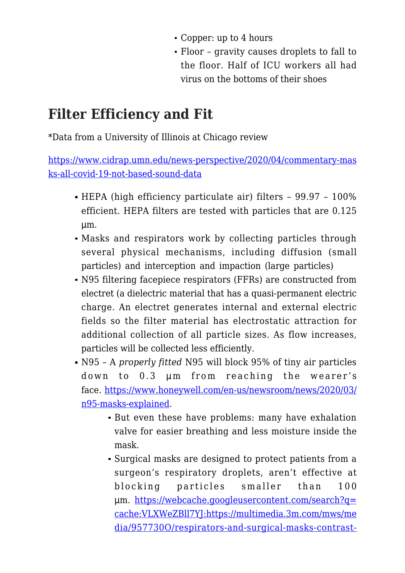- Copper: up to 4 hours
- Floor gravity causes droplets to fall to the floor. Half of ICU workers all had virus on the bottoms of their shoes

### **Filter Efficiency and Fit**

\*Data from a University of Illinois at Chicago review

[https://www.cidrap.umn.edu/news-perspective/2020/04/commentary-mas](https://www.cidrap.umn.edu/news-perspective/2020/04/commentary-masks-all-covid-19-not-based-sound-data) [ks-all-covid-19-not-based-sound-data](https://www.cidrap.umn.edu/news-perspective/2020/04/commentary-masks-all-covid-19-not-based-sound-data)

- HEPA (high efficiency particulate air) filters 99.97 100% efficient. HEPA filters are tested with particles that are 0.125 μm.
- Masks and respirators work by collecting particles through several physical mechanisms, including diffusion (small particles) and interception and impaction (large particles)
- N95 filtering facepiece respirators (FFRs) are constructed from electret (a dielectric material that has a quasi-permanent electric charge. An electret generates internal and external electric fields so the filter material has electrostatic attraction for additional collection of all particle sizes. As flow increases, particles will be collected less efficiently.
- N95 A *properly fitted* N95 will block 95% of tiny air particles down to 0.3 um from reaching the wearer's face. [https://www.honeywell.com/en-us/newsroom/news/2020/03/](https://www.honeywell.com/en-us/newsroom/news/2020/03/n95-masks-explained) [n95-masks-explained](https://www.honeywell.com/en-us/newsroom/news/2020/03/n95-masks-explained).
	- But even these have problems: many have exhalation valve for easier breathing and less moisture inside the mask.
	- Surgical masks are designed to protect patients from a surgeon's respiratory droplets, aren't effective at blocking particles smaller than 100 μm. [https://webcache.googleusercontent.com/search?q=](https://webcache.googleusercontent.com/search?q=cache:VLXWeZBll7YJ:https://multimedia.3m.com/mws/media/957730O/respirators-and-surgical-masks-contrast-technical-bulletin.pdf+&cd=13&hl=en&ct=clnk&gl=us) [cache:VLXWeZBll7YJ:https://multimedia.3m.com/mws/me](https://webcache.googleusercontent.com/search?q=cache:VLXWeZBll7YJ:https://multimedia.3m.com/mws/media/957730O/respirators-and-surgical-masks-contrast-technical-bulletin.pdf+&cd=13&hl=en&ct=clnk&gl=us) [dia/957730O/respirators-and-surgical-masks-contrast-](https://webcache.googleusercontent.com/search?q=cache:VLXWeZBll7YJ:https://multimedia.3m.com/mws/media/957730O/respirators-and-surgical-masks-contrast-technical-bulletin.pdf+&cd=13&hl=en&ct=clnk&gl=us)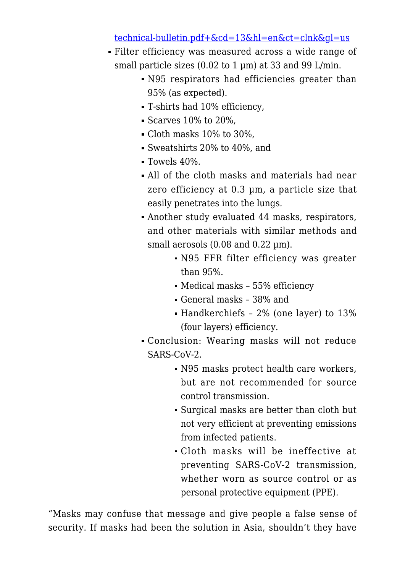#### [technical-bulletin.pdf+&cd=13&hl=en&ct=clnk&gl=us](https://webcache.googleusercontent.com/search?q=cache:VLXWeZBll7YJ:https://multimedia.3m.com/mws/media/957730O/respirators-and-surgical-masks-contrast-technical-bulletin.pdf+&cd=13&hl=en&ct=clnk&gl=us)

- Filter efficiency was measured across a wide range of small particle sizes (0.02 to 1 µm) at 33 and 99 L/min.
	- N95 respirators had efficiencies greater than 95% (as expected).
	- T-shirts had 10% efficiency,
	- $\blacktriangleright$  Scarves 10% to 20%,
	- Cloth masks 10% to 30%,
	- Sweatshirts 20% to 40%, and
	- Towels 40%.
	- All of the cloth masks and materials had near zero efficiency at 0.3 µm, a particle size that easily penetrates into the lungs.
	- Another study evaluated 44 masks, respirators, and other materials with similar methods and small aerosols (0.08 and 0.22 µm).
		- N95 FFR filter efficiency was greater than 95%.
		- Medical masks 55% efficiency
		- General masks 38% and
		- Handkerchiefs 2% (one layer) to 13% (four layers) efficiency.
	- Conclusion: Wearing masks will not reduce SARS-CoV-2.
		- N95 masks protect health care workers, but are not recommended for source control transmission.
		- Surgical masks are better than cloth but not very efficient at preventing emissions from infected patients.
		- Cloth masks will be ineffective at preventing SARS-CoV-2 transmission, whether worn as source control or as personal protective equipment (PPE).

"Masks may confuse that message and give people a false sense of security. If masks had been the solution in Asia, shouldn't they have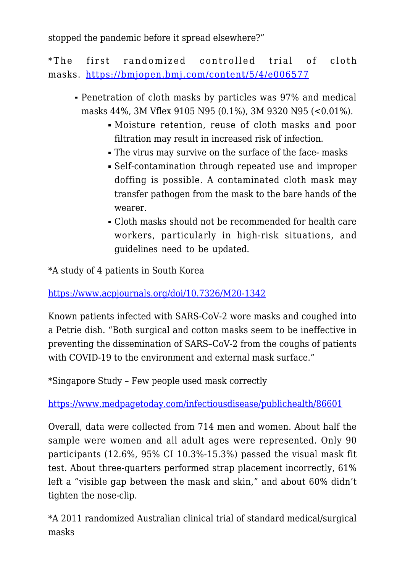stopped the pandemic before it spread elsewhere?"

\*The first randomized controlled trial of cloth masks.<https://bmjopen.bmj.com/content/5/4/e006577>

- Penetration of cloth masks by particles was 97% and medical masks 44%, 3M Vflex 9105 N95 (0.1%), 3M 9320 N95 (<0.01%).
	- Moisture retention, reuse of cloth masks and poor filtration may result in increased risk of infection.
	- The virus may survive on the surface of the face- masks
	- Self-contamination through repeated use and improper doffing is possible. A contaminated cloth mask may transfer pathogen from the mask to the bare hands of the wearer.
	- Cloth masks should not be recommended for health care workers, particularly in high-risk situations, and guidelines need to be updated.

\*A study of 4 patients in South Korea

<https://www.acpjournals.org/doi/10.7326/M20-1342>

Known patients infected with SARS-CoV-2 wore masks and coughed into a Petrie dish. "Both surgical and cotton masks seem to be ineffective in preventing the dissemination of SARS–CoV-2 from the coughs of patients with COVID-19 to the environment and external mask surface."

\*Singapore Study – Few people used mask correctly

<https://www.medpagetoday.com/infectiousdisease/publichealth/86601>

Overall, data were collected from 714 men and women. About half the sample were women and all adult ages were represented. Only 90 participants (12.6%, 95% CI 10.3%-15.3%) passed the visual mask fit test. About three-quarters performed strap placement incorrectly, 61% left a "visible gap between the mask and skin," and about 60% didn't tighten the nose-clip.

\*A 2011 randomized Australian clinical trial of standard medical/surgical masks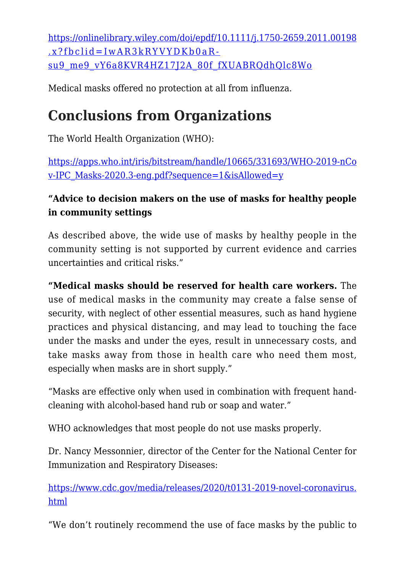[https://onlinelibrary.wiley.com/doi/epdf/10.1111/j.1750-2659.2011.00198](https://onlinelibrary.wiley.com/doi/epdf/10.1111/j.1750-2659.2011.00198.x?fbclid=IwAR3kRYVYDKb0aR-su9_me9_vY6a8KVR4HZ17J2A_80f_fXUABRQdhQlc8Wo) [.x?fbclid=IwAR3kRYVYDKb0aR](https://onlinelibrary.wiley.com/doi/epdf/10.1111/j.1750-2659.2011.00198.x?fbclid=IwAR3kRYVYDKb0aR-su9_me9_vY6a8KVR4HZ17J2A_80f_fXUABRQdhQlc8Wo)[su9\\_me9\\_vY6a8KVR4HZ17J2A\\_80f\\_fXUABRQdhQlc8Wo](https://onlinelibrary.wiley.com/doi/epdf/10.1111/j.1750-2659.2011.00198.x?fbclid=IwAR3kRYVYDKb0aR-su9_me9_vY6a8KVR4HZ17J2A_80f_fXUABRQdhQlc8Wo)

Medical masks offered no protection at all from influenza.

# **Conclusions from Organizations**

The World Health Organization (WHO):

[https://apps.who.int/iris/bitstream/handle/10665/331693/WHO-2019-nCo](https://apps.who.int/iris/bitstream/handle/10665/331693/WHO-2019-nCov-IPC_Masks-2020.3-eng.pdf?sequence=1&isAllowed=y) [v-IPC\\_Masks-2020.3-eng.pdf?sequence=1&isAllowed=y](https://apps.who.int/iris/bitstream/handle/10665/331693/WHO-2019-nCov-IPC_Masks-2020.3-eng.pdf?sequence=1&isAllowed=y)

#### **"Advice to decision makers on the use of masks for healthy people in community settings**

As described above, the wide use of masks by healthy people in the community setting is not supported by current evidence and carries uncertainties and critical risks."

**"Medical masks should be reserved for health care workers.** The use of medical masks in the community may create a false sense of security, with neglect of other essential measures, such as hand hygiene practices and physical distancing, and may lead to touching the face under the masks and under the eyes, result in unnecessary costs, and take masks away from those in health care who need them most, especially when masks are in short supply."

"Masks are effective only when used in combination with frequent handcleaning with alcohol-based hand rub or soap and water."

WHO acknowledges that most people do not use masks properly.

Dr. Nancy Messonnier, director of the Center for the National Center for Immunization and Respiratory Diseases:

[https://www.cdc.gov/media/releases/2020/t0131-2019-novel-coronavirus.](https://www.cdc.gov/media/releases/2020/t0131-2019-novel-coronavirus.html) [html](https://www.cdc.gov/media/releases/2020/t0131-2019-novel-coronavirus.html)

"We don't routinely recommend the use of face masks by the public to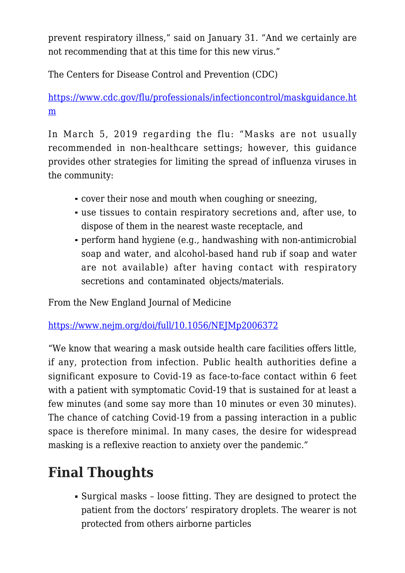prevent respiratory illness," said on January 31. "And we certainly are not recommending that at this time for this new virus."

The Centers for Disease Control and Prevention (CDC)

[https://www.cdc.gov/flu/professionals/infectioncontrol/maskguidance.ht](https://www.cdc.gov/flu/professionals/infectioncontrol/maskguidance.htm) [m](https://www.cdc.gov/flu/professionals/infectioncontrol/maskguidance.htm)

In March 5, 2019 regarding the flu: "Masks are not usually recommended in non-healthcare settings; however, this guidance provides other strategies for limiting the spread of influenza viruses in the community:

- cover their nose and mouth when coughing or sneezing,
- use tissues to contain respiratory secretions and, after use, to dispose of them in the nearest waste receptacle, and
- perform hand hygiene (e.g., handwashing with non-antimicrobial soap and water, and alcohol-based hand rub if soap and water are not available) after having contact with respiratory secretions and contaminated objects/materials.

From the New England Journal of Medicine

<https://www.nejm.org/doi/full/10.1056/NEJMp2006372>

"We know that wearing a mask outside health care facilities offers little, if any, protection from infection. Public health authorities define a significant exposure to Covid-19 as face-to-face contact within 6 feet with a patient with symptomatic Covid-19 that is sustained for at least a few minutes (and some say more than 10 minutes or even 30 minutes). The chance of catching Covid-19 from a passing interaction in a public space is therefore minimal. In many cases, the desire for widespread masking is a reflexive reaction to anxiety over the pandemic."

# **Final Thoughts**

Surgical masks – loose fitting. They are designed to protect the patient from the doctors' respiratory droplets. The wearer is not protected from others airborne particles